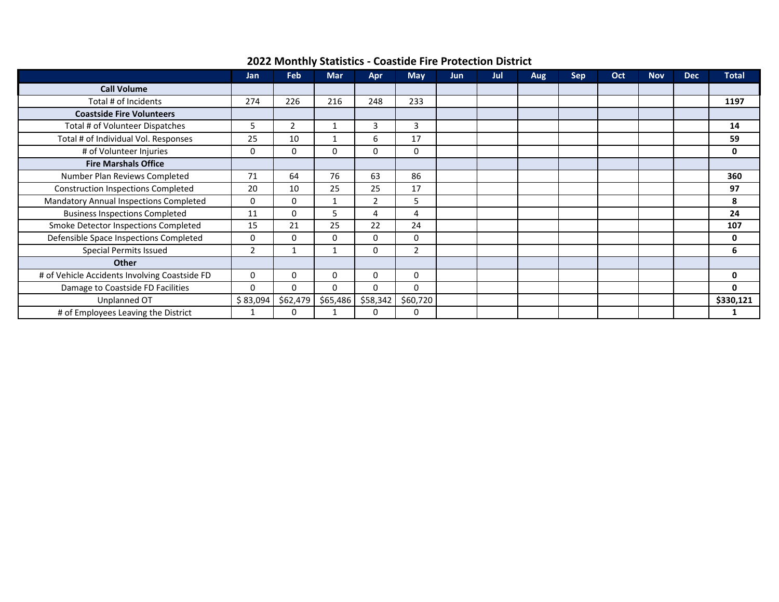| 2022 Monthly Statistics - Coastide Fire Protection District |  |
|-------------------------------------------------------------|--|
|-------------------------------------------------------------|--|

|                                               | Jan            | <b>Feb</b> | <b>Mar</b> | Apr      | <b>May</b>     | <b>Jun</b> | Jul | Aug | <b>Sep</b> | Oct | <b>Nov</b> | <b>Dec</b> | <b>Total</b> |
|-----------------------------------------------|----------------|------------|------------|----------|----------------|------------|-----|-----|------------|-----|------------|------------|--------------|
| <b>Call Volume</b>                            |                |            |            |          |                |            |     |     |            |     |            |            |              |
| Total # of Incidents                          | 274            | 226        | 216        | 248      | 233            |            |     |     |            |     |            |            | 1197         |
| <b>Coastside Fire Volunteers</b>              |                |            |            |          |                |            |     |     |            |     |            |            |              |
| Total # of Volunteer Dispatches               | 5              | 2          |            | 3        | 3              |            |     |     |            |     |            |            | 14           |
| Total # of Individual Vol. Responses          | 25             | 10         |            | 6        | 17             |            |     |     |            |     |            |            | 59           |
| # of Volunteer Injuries                       | 0              | 0          | 0          | 0        | 0              |            |     |     |            |     |            |            | 0            |
| <b>Fire Marshals Office</b>                   |                |            |            |          |                |            |     |     |            |     |            |            |              |
| Number Plan Reviews Completed                 | 71             | 64         | 76         | 63       | 86             |            |     |     |            |     |            |            | 360          |
| <b>Construction Inspections Completed</b>     | 20             | 10         | 25         | 25       | 17             |            |     |     |            |     |            |            | 97           |
| Mandatory Annual Inspections Completed        | $\mathbf 0$    | 0          |            | 2        | 5              |            |     |     |            |     |            |            | 8            |
| <b>Business Inspections Completed</b>         | 11             | 0          | 5.         | 4        | 4              |            |     |     |            |     |            |            | 24           |
| Smoke Detector Inspections Completed          | 15             | 21         | 25         | 22       | 24             |            |     |     |            |     |            |            | 107          |
| Defensible Space Inspections Completed        | 0              | $\Omega$   | 0          | 0        | 0              |            |     |     |            |     |            |            | 0            |
| <b>Special Permits Issued</b>                 | $\overline{2}$ |            |            | 0        | $\overline{2}$ |            |     |     |            |     |            |            | 6            |
| <b>Other</b>                                  |                |            |            |          |                |            |     |     |            |     |            |            |              |
| # of Vehicle Accidents Involving Coastside FD | 0              | 0          | 0          | 0        | 0              |            |     |     |            |     |            |            | 0            |
| Damage to Coastside FD Facilities             | $\Omega$       | $\Omega$   | 0          | 0        | $\Omega$       |            |     |     |            |     |            |            | 0            |
| Unplanned OT                                  | \$83,094       | \$62,479   | \$65,486   | \$58,342 | \$60,720       |            |     |     |            |     |            |            | \$330,121    |
| # of Employees Leaving the District           |                | 0          |            | 0        | 0              |            |     |     |            |     |            |            |              |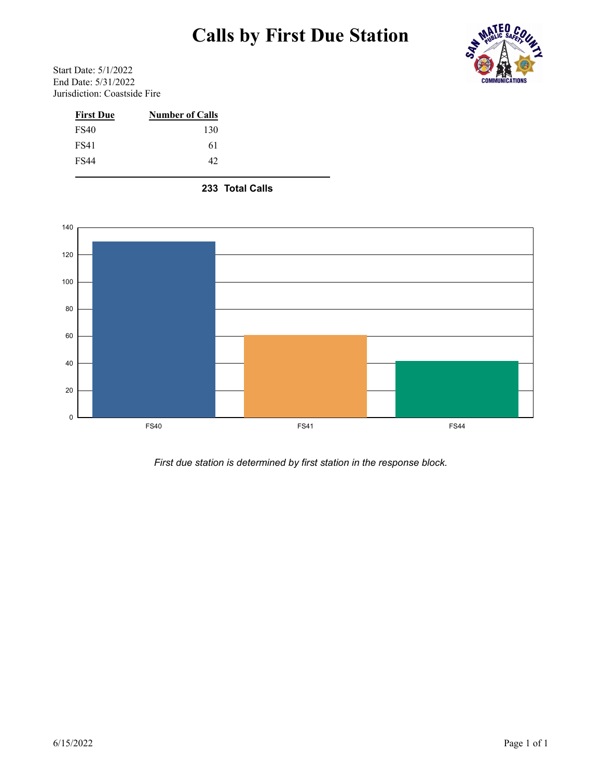# **Calls by First Due Station**



Start Date: 5/1/2022 End Date: 5/31/2022 Jurisdiction: Coastside Fire

| <b>Number of Calls</b> |
|------------------------|
| 130                    |
| 61                     |
| 42                     |
|                        |

 **233 Total Calls**



*First due station is determined by first station in the response block.*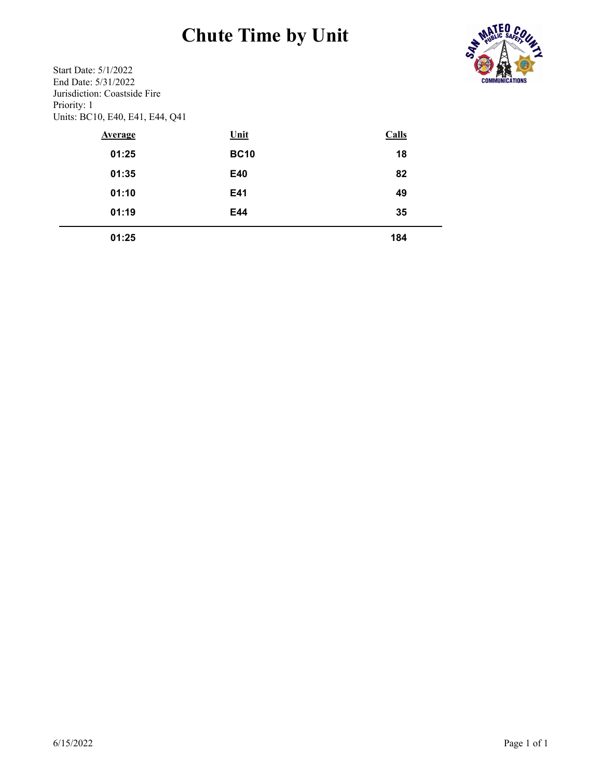# **Chute Time by Unit**



Start Date: 5/1/2022 End Date: 5/31/2022 Jurisdiction: Coastside Fire Priority: 1 Units: BC10, E40, E41, E44, Q41

| <b>Average</b> | <u>Unit</u> | Calls |
|----------------|-------------|-------|
| 01:25          | <b>BC10</b> | 18    |
| 01:35          | E40         | 82    |
| 01:10          | E41         | 49    |
| 01:19          | E44         | 35    |
| 01:25          |             | 184   |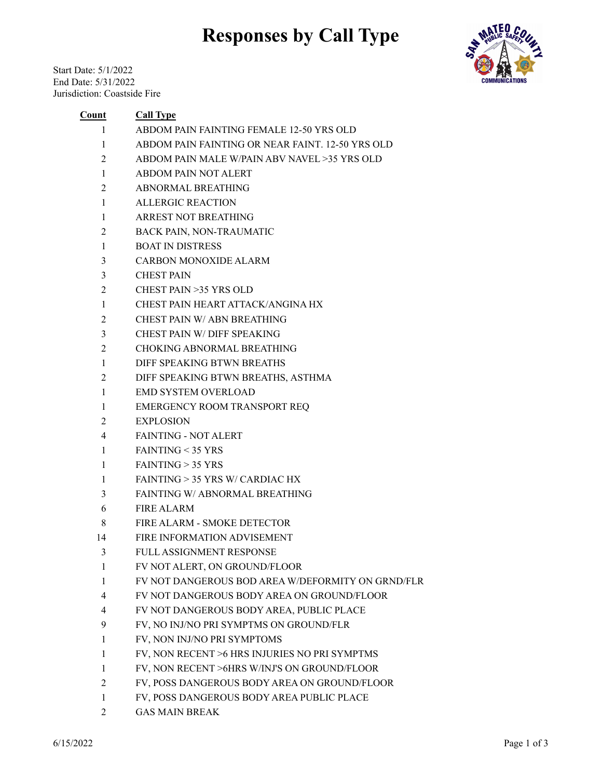### **Responses by Call Type**

Start Date: 5/1/2022 End Date: 5/31/2022 Jurisdiction: Coastside Fire



#### **Count Call Type**

- ABDOM PAIN FAINTING FEMALE 12-50 YRS OLD
- ABDOM PAIN FAINTING OR NEAR FAINT. 12-50 YRS OLD
- ABDOM PAIN MALE W/PAIN ABV NAVEL >35 YRS OLD
- ABDOM PAIN NOT ALERT
- ABNORMAL BREATHING
- ALLERGIC REACTION
- ARREST NOT BREATHING
- BACK PAIN, NON-TRAUMATIC
- BOAT IN DISTRESS
- CARBON MONOXIDE ALARM
- CHEST PAIN
- CHEST PAIN >35 YRS OLD
- CHEST PAIN HEART ATTACK/ANGINA HX
- CHEST PAIN W/ ABN BREATHING
- CHEST PAIN W/ DIFF SPEAKING
- CHOKING ABNORMAL BREATHING
- DIFF SPEAKING BTWN BREATHS
- DIFF SPEAKING BTWN BREATHS, ASTHMA
- EMD SYSTEM OVERLOAD
- EMERGENCY ROOM TRANSPORT REQ
- EXPLOSION
- FAINTING NOT ALERT
- FAINTING < 35 YRS
- FAINTING > 35 YRS
- FAINTING > 35 YRS W/ CARDIAC HX
- FAINTING W/ ABNORMAL BREATHING
- FIRE ALARM
- FIRE ALARM SMOKE DETECTOR
- FIRE INFORMATION ADVISEMENT
- FULL ASSIGNMENT RESPONSE
- FV NOT ALERT, ON GROUND/FLOOR
- FV NOT DANGEROUS BOD AREA W/DEFORMITY ON GRND/FLR
- FV NOT DANGEROUS BODY AREA ON GROUND/FLOOR
- FV NOT DANGEROUS BODY AREA, PUBLIC PLACE
- FV, NO INJ/NO PRI SYMPTMS ON GROUND/FLR
- FV, NON INJ/NO PRI SYMPTOMS
- FV, NON RECENT >6 HRS INJURIES NO PRI SYMPTMS
- FV, NON RECENT >6HRS W/INJ'S ON GROUND/FLOOR
- FV, POSS DANGEROUS BODY AREA ON GROUND/FLOOR
- FV, POSS DANGEROUS BODY AREA PUBLIC PLACE
- GAS MAIN BREAK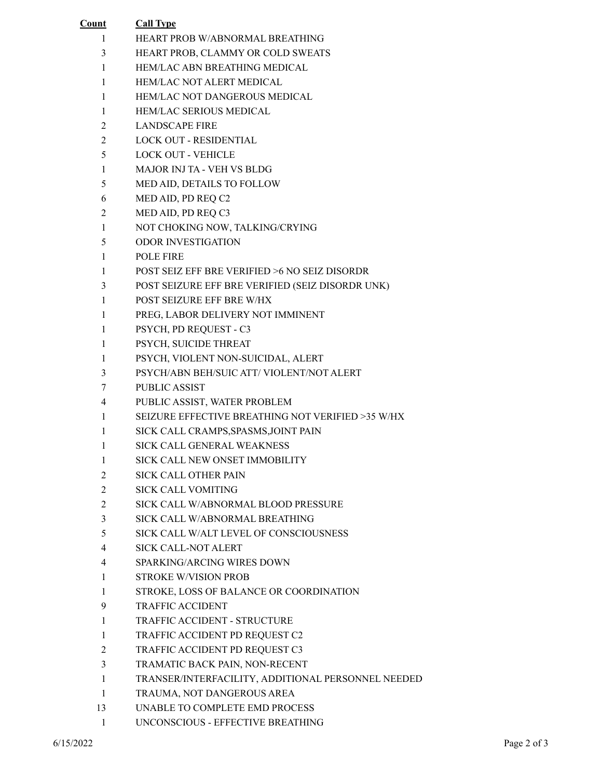| Count          | <b>Call Type</b>                                        |
|----------------|---------------------------------------------------------|
| 1              | HEART PROB W/ABNORMAL BREATHING                         |
| 3              | HEART PROB, CLAMMY OR COLD SWEATS                       |
| 1              | HEM/LAC ABN BREATHING MEDICAL                           |
| 1              | <b>HEM/LAC NOT ALERT MEDICAL</b>                        |
| 1              | HEM/LAC NOT DANGEROUS MEDICAL                           |
| 1              | <b>HEM/LAC SERIOUS MEDICAL</b>                          |
| $\overline{c}$ | <b>LANDSCAPE FIRE</b>                                   |
| $\overline{2}$ | <b>LOCK OUT - RESIDENTIAL</b>                           |
| 5              | <b>LOCK OUT - VEHICLE</b>                               |
| 1              | <b>MAJOR INJ TA - VEH VS BLDG</b>                       |
| 5              | MED AID, DETAILS TO FOLLOW                              |
| 6              | MED AID, PD REQ C2                                      |
| 2              | MED AID, PD REQ C3                                      |
| 1              | NOT CHOKING NOW, TALKING/CRYING                         |
| 5              | <b>ODOR INVESTIGATION</b>                               |
| 1              | <b>POLE FIRE</b>                                        |
| 1              | <b>POST SEIZ EFF BRE VERIFIED &gt;6 NO SEIZ DISORDR</b> |
| 3              | POST SEIZURE EFF BRE VERIFIED (SEIZ DISORDR UNK)        |
| 1              | POST SEIZURE EFF BRE W/HX                               |
| 1              | PREG, LABOR DELIVERY NOT IMMINENT                       |
| 1              | PSYCH, PD REQUEST - C3                                  |
| 1              | PSYCH, SUICIDE THREAT                                   |
| 1              | PSYCH, VIOLENT NON-SUICIDAL, ALERT                      |
| 3              | PSYCH/ABN BEH/SUIC ATT/ VIOLENT/NOT ALERT               |
| 7              | <b>PUBLIC ASSIST</b>                                    |
| 4              | PUBLIC ASSIST, WATER PROBLEM                            |
| 1              | SEIZURE EFFECTIVE BREATHING NOT VERIFIED >35 W/HX       |
| 1              | SICK CALL CRAMPS, SPASMS, JOINT PAIN                    |
| 1              | SICK CALL GENERAL WEAKNESS                              |
| 1              | SICK CALL NEW ONSET IMMOBILITY                          |
| 2              | <b>SICK CALL OTHER PAIN</b>                             |
| $\overline{c}$ | <b>SICK CALL VOMITING</b>                               |
| $\overline{c}$ | SICK CALL W/ABNORMAL BLOOD PRESSURE                     |
| 3              | SICK CALL W/ABNORMAL BREATHING                          |
| 5              | SICK CALL W/ALT LEVEL OF CONSCIOUSNESS                  |
| 4              | SICK CALL-NOT ALERT                                     |
| 4              | SPARKING/ARCING WIRES DOWN                              |
| 1              | <b>STROKE W/VISION PROB</b>                             |
| 1              | STROKE, LOSS OF BALANCE OR COORDINATION                 |
| 9              | <b>TRAFFIC ACCIDENT</b>                                 |
| 1              | TRAFFIC ACCIDENT - STRUCTURE                            |
| 1              | TRAFFIC ACCIDENT PD REQUEST C2                          |
| 2              | TRAFFIC ACCIDENT PD REQUEST C3                          |
| 3              | TRAMATIC BACK PAIN, NON-RECENT                          |
| 1              | TRANSER/INTERFACILITY, ADDITIONAL PERSONNEL NEEDED      |
| 1              | TRAUMA, NOT DANGEROUS AREA                              |
| 13             | UNABLE TO COMPLETE EMD PROCESS                          |
| 1              | UNCONSCIOUS - EFFECTIVE BREATHING                       |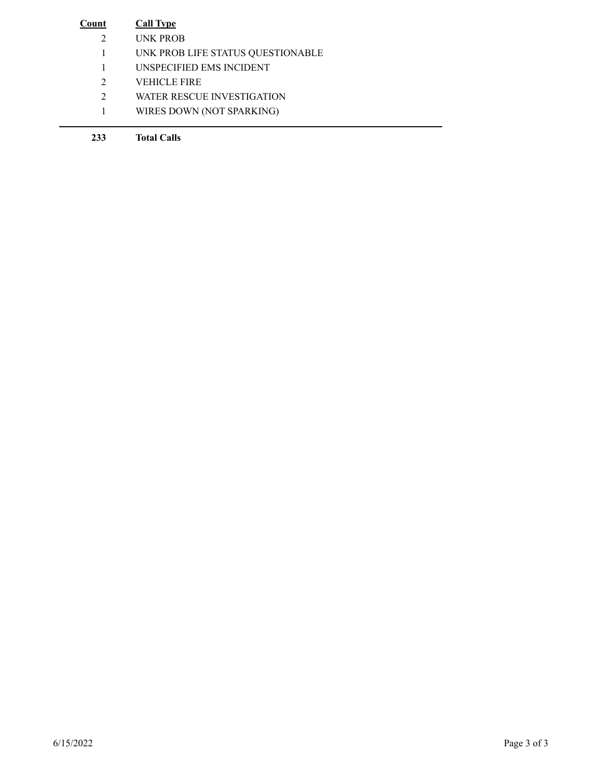| Count         | <b>Call Type</b>                  |
|---------------|-----------------------------------|
| $\mathcal{D}$ | UNK PROB                          |
|               | UNK PROB LIFE STATUS QUESTIONABLE |
|               | UNSPECIFIED EMS INCIDENT          |
| $\mathcal{L}$ | VEHICLE FIRE                      |
| 2             | WATER RESCUE INVESTIGATION        |
|               | WIRES DOWN (NOT SPARKING)         |
|               |                                   |

**Total Calls**